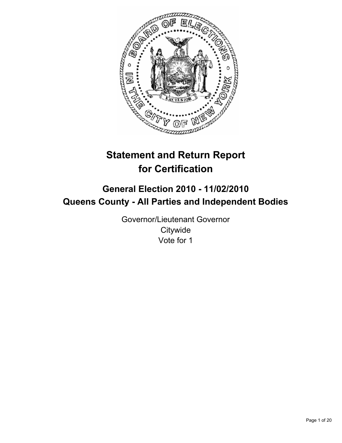

# **Statement and Return Report for Certification**

## **General Election 2010 - 11/02/2010 Queens County - All Parties and Independent Bodies**

Governor/Lieutenant Governor **Citywide** Vote for 1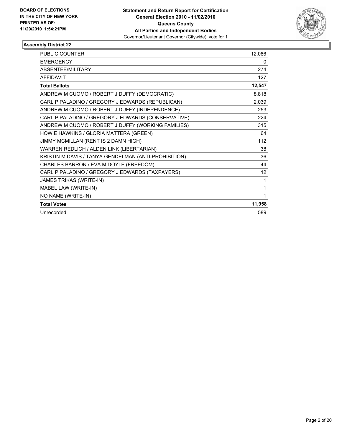

| <b>PUBLIC COUNTER</b>                                | 12,086 |
|------------------------------------------------------|--------|
| <b>EMERGENCY</b>                                     | 0      |
| ABSENTEE/MILITARY                                    | 274    |
| <b>AFFIDAVIT</b>                                     | 127    |
| <b>Total Ballots</b>                                 | 12,547 |
| ANDREW M CUOMO / ROBERT J DUFFY (DEMOCRATIC)         | 8,818  |
| CARL P PALADINO / GREGORY J EDWARDS (REPUBLICAN)     | 2,039  |
| ANDREW M CUOMO / ROBERT J DUFFY (INDEPENDENCE)       | 253    |
| CARL P PALADINO / GREGORY J EDWARDS (CONSERVATIVE)   | 224    |
| ANDREW M CUOMO / ROBERT J DUFFY (WORKING FAMILIES)   | 315    |
| HOWIE HAWKINS / GLORIA MATTERA (GREEN)               | 64     |
| JIMMY MCMILLAN (RENT IS 2 DAMN HIGH)                 | 112    |
| WARREN REDLICH / ALDEN LINK (LIBERTARIAN)            | 38     |
| KRISTIN M DAVIS / TANYA GENDELMAN (ANTI-PROHIBITION) | 36     |
| CHARLES BARRON / EVA M DOYLE (FREEDOM)               | 44     |
| CARL P PALADINO / GREGORY J EDWARDS (TAXPAYERS)      | 12     |
| JAMES TRIKAS (WRITE-IN)                              | 1      |
| MABEL LAW (WRITE-IN)                                 | 1      |
| NO NAME (WRITE-IN)                                   | 1      |
| <b>Total Votes</b>                                   | 11,958 |
| Unrecorded                                           | 589    |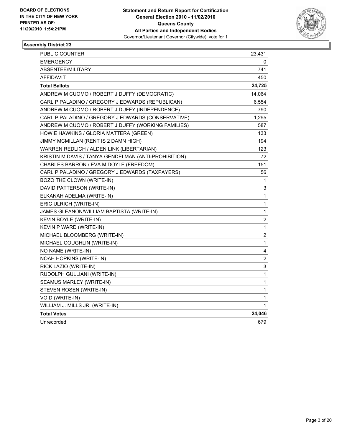

| PUBLIC COUNTER                                       | 23,431         |
|------------------------------------------------------|----------------|
| <b>EMERGENCY</b>                                     | 0              |
| ABSENTEE/MILITARY                                    | 741            |
| <b>AFFIDAVIT</b>                                     | 450            |
| <b>Total Ballots</b>                                 | 24,725         |
| ANDREW M CUOMO / ROBERT J DUFFY (DEMOCRATIC)         | 14,064         |
| CARL P PALADINO / GREGORY J EDWARDS (REPUBLICAN)     | 6,554          |
| ANDREW M CUOMO / ROBERT J DUFFY (INDEPENDENCE)       | 790            |
| CARL P PALADINO / GREGORY J EDWARDS (CONSERVATIVE)   | 1,295          |
| ANDREW M CUOMO / ROBERT J DUFFY (WORKING FAMILIES)   | 587            |
| HOWIE HAWKINS / GLORIA MATTERA (GREEN)               | 133            |
| JIMMY MCMILLAN (RENT IS 2 DAMN HIGH)                 | 194            |
| WARREN REDLICH / ALDEN LINK (LIBERTARIAN)            | 123            |
| KRISTIN M DAVIS / TANYA GENDELMAN (ANTI-PROHIBITION) | 72             |
| CHARLES BARRON / EVA M DOYLE (FREEDOM)               | 151            |
| CARL P PALADINO / GREGORY J EDWARDS (TAXPAYERS)      | 56             |
| BOZO THE CLOWN (WRITE-IN)                            | 1              |
| DAVID PATTERSON (WRITE-IN)                           | 3              |
| ELKANAH ADELMA (WRITE-IN)                            | 1              |
| ERIC ULRICH (WRITE-IN)                               | 1              |
| JAMES GLEANON/WILLIAM BAPTISTA (WRITE-IN)            | $\mathbf{1}$   |
| KEVIN BOYLE (WRITE-IN)                               | $\overline{c}$ |
| KEVIN P WARD (WRITE-IN)                              | 1              |
| MICHAEL BLOOMBERG (WRITE-IN)                         | 2              |
| MICHAEL COUGHLIN (WRITE-IN)                          | 1              |
| NO NAME (WRITE-IN)                                   | 4              |
| NOAH HOPKINS (WRITE-IN)                              | 2              |
| RICK LAZIO (WRITE-IN)                                | 3              |
| RUDOLPH GULLIANI (WRITE-IN)                          | 1              |
| SEAMUS MARLEY (WRITE-IN)                             | 1              |
| STEVEN ROSEN (WRITE-IN)                              | $\mathbf{1}$   |
| VOID (WRITE-IN)                                      | 1              |
| WILLIAM J. MILLS JR. (WRITE-IN)                      | 1              |
| <b>Total Votes</b>                                   | 24,046         |
| Unrecorded                                           | 679            |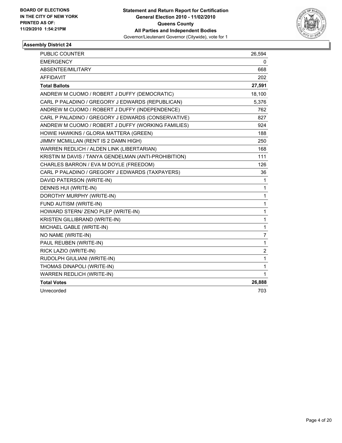

| <b>PUBLIC COUNTER</b>                                | 26,594         |
|------------------------------------------------------|----------------|
| <b>EMERGENCY</b>                                     | 0              |
| ABSENTEE/MILITARY                                    | 668            |
| <b>AFFIDAVIT</b>                                     | 202            |
| <b>Total Ballots</b>                                 | 27,591         |
| ANDREW M CUOMO / ROBERT J DUFFY (DEMOCRATIC)         | 18,100         |
| CARL P PALADINO / GREGORY J EDWARDS (REPUBLICAN)     | 5,376          |
| ANDREW M CUOMO / ROBERT J DUFFY (INDEPENDENCE)       | 762            |
| CARL P PALADINO / GREGORY J EDWARDS (CONSERVATIVE)   | 827            |
| ANDREW M CUOMO / ROBERT J DUFFY (WORKING FAMILIES)   | 924            |
| HOWIE HAWKINS / GLORIA MATTERA (GREEN)               | 188            |
| JIMMY MCMILLAN (RENT IS 2 DAMN HIGH)                 | 250            |
| WARREN REDLICH / ALDEN LINK (LIBERTARIAN)            | 168            |
| KRISTIN M DAVIS / TANYA GENDELMAN (ANTI-PROHIBITION) | 111            |
| CHARLES BARRON / EVA M DOYLE (FREEDOM)               | 126            |
| CARL P PALADINO / GREGORY J EDWARDS (TAXPAYERS)      | 36             |
| DAVID PATERSON (WRITE-IN)                            | 1              |
| DENNIS HUI (WRITE-IN)                                | $\mathbf{1}$   |
| DOROTHY MURPHY (WRITE-IN)                            | $\mathbf 1$    |
| FUND AUTISM (WRITE-IN)                               | $\mathbf{1}$   |
| HOWARD STERN/ ZENO PLEP (WRITE-IN)                   | 1              |
| KRISTEN GILLIBRAND (WRITE-IN)                        | $\mathbf{1}$   |
| MICHAEL GABLE (WRITE-IN)                             | $\mathbf 1$    |
| NO NAME (WRITE-IN)                                   | $\overline{7}$ |
| PAUL REUBEN (WRITE-IN)                               | 1              |
| RICK LAZIO (WRITE-IN)                                | $\overline{c}$ |
| RUDOLPH GIULIANI (WRITE-IN)                          | 1              |
| THOMAS DINAPOLI (WRITE-IN)                           | $\mathbf{1}$   |
| WARREN REDLICH (WRITE-IN)                            | $\mathbf{1}$   |
| <b>Total Votes</b>                                   | 26,888         |
| Unrecorded                                           | 703            |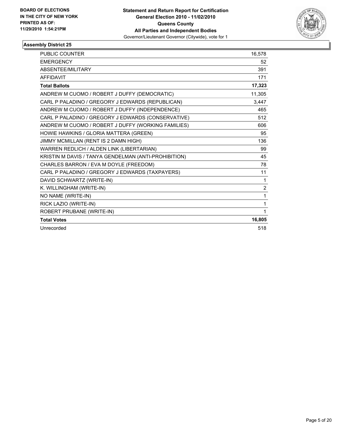

| <b>PUBLIC COUNTER</b>                                | 16,578         |
|------------------------------------------------------|----------------|
| <b>EMERGENCY</b>                                     | 52             |
| ABSENTEE/MILITARY                                    | 391            |
| <b>AFFIDAVIT</b>                                     | 171            |
| <b>Total Ballots</b>                                 | 17,323         |
| ANDREW M CUOMO / ROBERT J DUFFY (DEMOCRATIC)         | 11,305         |
| CARL P PALADINO / GREGORY J EDWARDS (REPUBLICAN)     | 3.447          |
| ANDREW M CUOMO / ROBERT J DUFFY (INDEPENDENCE)       | 465            |
| CARL P PALADINO / GREGORY J EDWARDS (CONSERVATIVE)   | 512            |
| ANDREW M CUOMO / ROBERT J DUFFY (WORKING FAMILIES)   | 606            |
| HOWIE HAWKINS / GLORIA MATTERA (GREEN)               | 95             |
| JIMMY MCMILLAN (RENT IS 2 DAMN HIGH)                 | 136            |
| WARREN REDLICH / ALDEN LINK (LIBERTARIAN)            | 99             |
| KRISTIN M DAVIS / TANYA GENDELMAN (ANTI-PROHIBITION) | 45             |
| CHARLES BARRON / EVA M DOYLE (FREEDOM)               | 78             |
| CARL P PALADINO / GREGORY J EDWARDS (TAXPAYERS)      | 11             |
| DAVID SCHWARTZ (WRITE-IN)                            | 1              |
| K. WILLINGHAM (WRITE-IN)                             | $\overline{2}$ |
| NO NAME (WRITE-IN)                                   | 1              |
| RICK LAZIO (WRITE-IN)                                | 1              |
| ROBERT PRUBANE (WRITE-IN)                            | 1              |
| <b>Total Votes</b>                                   | 16,805         |
| Unrecorded                                           | 518            |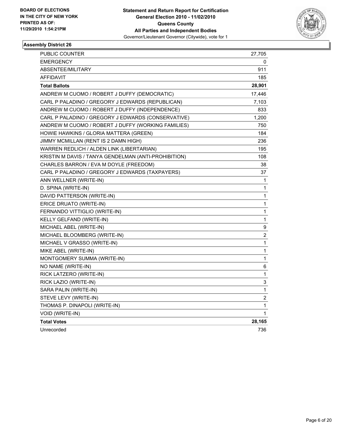

| PUBLIC COUNTER                                       | 27,705 |
|------------------------------------------------------|--------|
| EMERGENCY                                            | 0      |
| ABSENTEE/MILITARY                                    | 911    |
| AFFIDAVIT                                            | 185    |
| <b>Total Ballots</b>                                 | 28,901 |
| ANDREW M CUOMO / ROBERT J DUFFY (DEMOCRATIC)         | 17,446 |
| CARL P PALADINO / GREGORY J EDWARDS (REPUBLICAN)     | 7,103  |
| ANDREW M CUOMO / ROBERT J DUFFY (INDEPENDENCE)       | 833    |
| CARL P PALADINO / GREGORY J EDWARDS (CONSERVATIVE)   | 1,200  |
| ANDREW M CUOMO / ROBERT J DUFFY (WORKING FAMILIES)   | 750    |
| HOWIE HAWKINS / GLORIA MATTERA (GREEN)               | 184    |
| JIMMY MCMILLAN (RENT IS 2 DAMN HIGH)                 | 236    |
| WARREN REDLICH / ALDEN LINK (LIBERTARIAN)            | 195    |
| KRISTIN M DAVIS / TANYA GENDELMAN (ANTI-PROHIBITION) | 108    |
| CHARLES BARRON / EVA M DOYLE (FREEDOM)               | 38     |
| CARL P PALADINO / GREGORY J EDWARDS (TAXPAYERS)      | 37     |
| ANN WELLNER (WRITE-IN)                               | 1      |
| D. SPINA (WRITE-IN)                                  | 1      |
| DAVID PATTERSON (WRITE-IN)                           | 1      |
| ERICE DRUATO (WRITE-IN)                              | 1      |
| FERNANDO VITTIGLIO (WRITE-IN)                        | 1      |
| KELLY GELFAND (WRITE-IN)                             | 1      |
| MICHAEL ABEL (WRITE-IN)                              | 9      |
| MICHAEL BLOOMBERG (WRITE-IN)                         | 2      |
| MICHAEL V GRASSO (WRITE-IN)                          | 1      |
| MIKE ABEL (WRITE-IN)                                 | 1      |
| MONTGOMERY SUMMA (WRITE-IN)                          | 1      |
| NO NAME (WRITE-IN)                                   | 6      |
| RICK LATZERO (WRITE-IN)                              | 1      |
| RICK LAZIO (WRITE-IN)                                | 3      |
| SARA PALIN (WRITE-IN)                                | 1      |
| STEVE LEVY (WRITE-IN)                                | 2      |
| THOMAS P. DINAPOLI (WRITE-IN)                        | 1      |
| VOID (WRITE-IN)                                      | 1      |
| <b>Total Votes</b>                                   | 28,165 |
| Unrecorded                                           | 736    |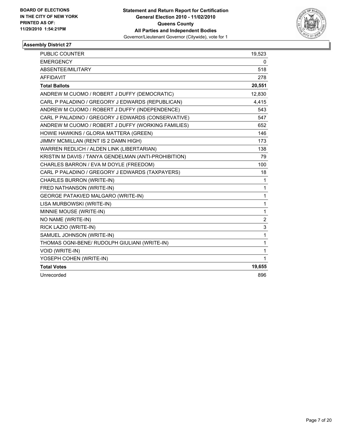

| <b>PUBLIC COUNTER</b>                                | 19,523         |
|------------------------------------------------------|----------------|
| <b>EMERGENCY</b>                                     | 0              |
| ABSENTEE/MILITARY                                    | 518            |
| <b>AFFIDAVIT</b>                                     | 278            |
| <b>Total Ballots</b>                                 | 20,551         |
| ANDREW M CUOMO / ROBERT J DUFFY (DEMOCRATIC)         | 12,830         |
| CARL P PALADINO / GREGORY J EDWARDS (REPUBLICAN)     | 4,415          |
| ANDREW M CUOMO / ROBERT J DUFFY (INDEPENDENCE)       | 543            |
| CARL P PALADINO / GREGORY J EDWARDS (CONSERVATIVE)   | 547            |
| ANDREW M CUOMO / ROBERT J DUFFY (WORKING FAMILIES)   | 652            |
| HOWIE HAWKINS / GLORIA MATTERA (GREEN)               | 146            |
| JIMMY MCMILLAN (RENT IS 2 DAMN HIGH)                 | 173            |
| WARREN REDLICH / ALDEN LINK (LIBERTARIAN)            | 138            |
| KRISTIN M DAVIS / TANYA GENDELMAN (ANTI-PROHIBITION) | 79             |
| CHARLES BARRON / EVA M DOYLE (FREEDOM)               | 100            |
| CARL P PALADINO / GREGORY J EDWARDS (TAXPAYERS)      | 18             |
| CHARLES BURRON (WRITE-IN)                            | $\mathbf{1}$   |
| FRED NATHANSON (WRITE-IN)                            | $\mathbf{1}$   |
| GEORGE PATAKI/ED MALGARO (WRITE-IN)                  | $\mathbf 1$    |
| LISA MURBOWSKI (WRITE-IN)                            | $\mathbf 1$    |
| MINNIE MOUSE (WRITE-IN)                              | 1              |
| NO NAME (WRITE-IN)                                   | $\overline{c}$ |
| RICK LAZIO (WRITE-IN)                                | 3              |
| SAMUEL JOHNSON (WRITE-IN)                            | $\mathbf{1}$   |
| THOMAS OGNI-BENE/ RUDOLPH GIULIANI (WRITE-IN)        | $\mathbf{1}$   |
| VOID (WRITE-IN)                                      | $\mathbf{1}$   |
| YOSEPH COHEN (WRITE-IN)                              | $\mathbf{1}$   |
| <b>Total Votes</b>                                   | 19,655         |
| Unrecorded                                           | 896            |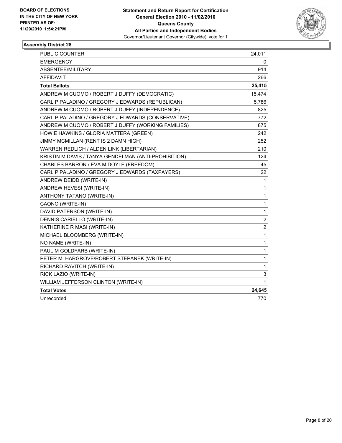

| PUBLIC COUNTER                                       | 24,011                  |
|------------------------------------------------------|-------------------------|
| <b>EMERGENCY</b>                                     | 0                       |
| ABSENTEE/MILITARY                                    | 914                     |
| <b>AFFIDAVIT</b>                                     | 266                     |
| <b>Total Ballots</b>                                 | 25,415                  |
| ANDREW M CUOMO / ROBERT J DUFFY (DEMOCRATIC)         | 15,474                  |
| CARL P PALADINO / GREGORY J EDWARDS (REPUBLICAN)     | 5,786                   |
| ANDREW M CUOMO / ROBERT J DUFFY (INDEPENDENCE)       | 825                     |
| CARL P PALADINO / GREGORY J EDWARDS (CONSERVATIVE)   | 772                     |
| ANDREW M CUOMO / ROBERT J DUFFY (WORKING FAMILIES)   | 875                     |
| HOWIE HAWKINS / GLORIA MATTERA (GREEN)               | 242                     |
| JIMMY MCMILLAN (RENT IS 2 DAMN HIGH)                 | 252                     |
| WARREN REDLICH / ALDEN LINK (LIBERTARIAN)            | 210                     |
| KRISTIN M DAVIS / TANYA GENDELMAN (ANTI-PROHIBITION) | 124                     |
| CHARLES BARRON / EVA M DOYLE (FREEDOM)               | 45                      |
| CARL P PALADINO / GREGORY J EDWARDS (TAXPAYERS)      | 22                      |
| ANDREW DEIDD (WRITE-IN)                              | 1                       |
| ANDREW HEVESI (WRITE-IN)                             | 1                       |
| ANTHONY TATANO (WRITE-IN)                            | 1                       |
| CAONO (WRITE-IN)                                     | 1                       |
| DAVID PATERSON (WRITE-IN)                            | $\mathbf{1}$            |
| DENNIS CARIELLO (WRITE-IN)                           | $\overline{\mathbf{c}}$ |
| KATHERINE R MASI (WRITE-IN)                          | $\overline{2}$          |
| MICHAEL BLOOMBERG (WRITE-IN)                         | $\mathbf{1}$            |
| NO NAME (WRITE-IN)                                   | 1                       |
| PAUL M GOLDFARB (WRITE-IN)                           | 1                       |
| PETER M. HARGROVE/ROBERT STEPANEK (WRITE-IN)         | 1                       |
| RICHARD RAVITCH (WRITE-IN)                           | 1                       |
| RICK LAZIO (WRITE-IN)                                | 3                       |
| WILLIAM JEFFERSON CLINTON (WRITE-IN)                 | 1                       |
| <b>Total Votes</b>                                   | 24,645                  |
| Unrecorded                                           | 770                     |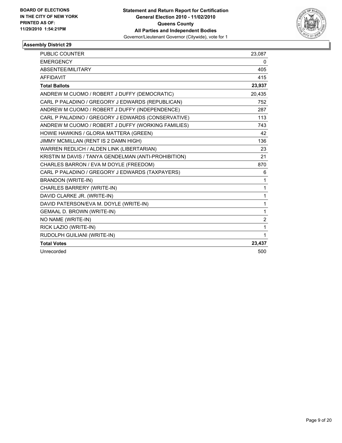

| <b>PUBLIC COUNTER</b>                                | 23,087         |
|------------------------------------------------------|----------------|
| <b>EMERGENCY</b>                                     | 0              |
| ABSENTEE/MILITARY                                    | 405            |
| <b>AFFIDAVIT</b>                                     | 415            |
| <b>Total Ballots</b>                                 | 23,937         |
| ANDREW M CUOMO / ROBERT J DUFFY (DEMOCRATIC)         | 20,435         |
| CARL P PALADINO / GREGORY J EDWARDS (REPUBLICAN)     | 752            |
| ANDREW M CUOMO / ROBERT J DUFFY (INDEPENDENCE)       | 287            |
| CARL P PALADINO / GREGORY J EDWARDS (CONSERVATIVE)   | 113            |
| ANDREW M CUOMO / ROBERT J DUFFY (WORKING FAMILIES)   | 743            |
| HOWIE HAWKINS / GLORIA MATTERA (GREEN)               | 42             |
| JIMMY MCMILLAN (RENT IS 2 DAMN HIGH)                 | 136            |
| WARREN REDLICH / ALDEN LINK (LIBERTARIAN)            | 23             |
| KRISTIN M DAVIS / TANYA GENDELMAN (ANTI-PROHIBITION) | 21             |
| CHARLES BARRON / EVA M DOYLE (FREEDOM)               | 870            |
| CARL P PALADINO / GREGORY J EDWARDS (TAXPAYERS)      | 6              |
| BRANDON (WRITE-IN)                                   | $\mathbf{1}$   |
| CHARLES BARRERY (WRITE-IN)                           | $\mathbf{1}$   |
| DAVID CLARKE JR. (WRITE-IN)                          | $\mathbf{1}$   |
| DAVID PATERSON/EVA M. DOYLE (WRITE-IN)               | $\mathbf{1}$   |
| GEMAAL D. BROWN (WRITE-IN)                           | $\mathbf{1}$   |
| NO NAME (WRITE-IN)                                   | $\overline{2}$ |
| RICK LAZIO (WRITE-IN)                                | $\mathbf{1}$   |
| RUDOLPH GUILIANI (WRITE-IN)                          | $\mathbf{1}$   |
| <b>Total Votes</b>                                   | 23,437         |
| Unrecorded                                           | 500            |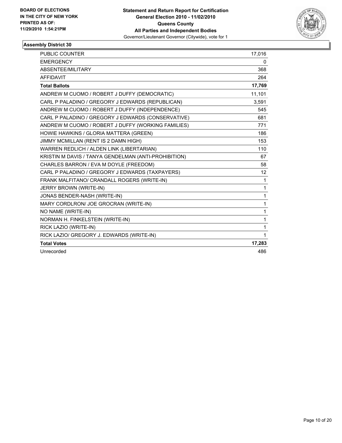

| <b>PUBLIC COUNTER</b>                                | 17,016          |
|------------------------------------------------------|-----------------|
| <b>EMERGENCY</b>                                     | 0               |
| ABSENTEE/MILITARY                                    | 368             |
| <b>AFFIDAVIT</b>                                     | 264             |
| <b>Total Ballots</b>                                 | 17,769          |
| ANDREW M CUOMO / ROBERT J DUFFY (DEMOCRATIC)         | 11,101          |
| CARL P PALADINO / GREGORY J EDWARDS (REPUBLICAN)     | 3,591           |
| ANDREW M CUOMO / ROBERT J DUFFY (INDEPENDENCE)       | 545             |
| CARL P PALADINO / GREGORY J EDWARDS (CONSERVATIVE)   | 681             |
| ANDREW M CUOMO / ROBERT J DUFFY (WORKING FAMILIES)   | 771             |
| HOWIE HAWKINS / GLORIA MATTERA (GREEN)               | 186             |
| JIMMY MCMILLAN (RENT IS 2 DAMN HIGH)                 | 153             |
| WARREN REDLICH / ALDEN LINK (LIBERTARIAN)            | 110             |
| KRISTIN M DAVIS / TANYA GENDELMAN (ANTI-PROHIBITION) | 67              |
| CHARLES BARRON / EVA M DOYLE (FREEDOM)               | 58              |
| CARL P PALADINO / GREGORY J EDWARDS (TAXPAYERS)      | 12 <sup>2</sup> |
| FRANK MALFITANO/ CRANDALL ROGERS (WRITE-IN)          | 1               |
| JERRY BROWN (WRITE-IN)                               | 1               |
| JONAS BENDER-NASH (WRITE-IN)                         | $\mathbf{1}$    |
| MARY CORDLRON/ JOE GROCRAN (WRITE-IN)                | $\mathbf{1}$    |
| NO NAME (WRITE-IN)                                   | $\mathbf{1}$    |
| NORMAN H. FINKELSTEIN (WRITE-IN)                     | $\mathbf{1}$    |
| RICK LAZIO (WRITE-IN)                                | $\mathbf{1}$    |
| RICK LAZIO/ GREGORY J. EDWARDS (WRITE-IN)            | $\mathbf{1}$    |
| <b>Total Votes</b>                                   | 17,283          |
| Unrecorded                                           | 486             |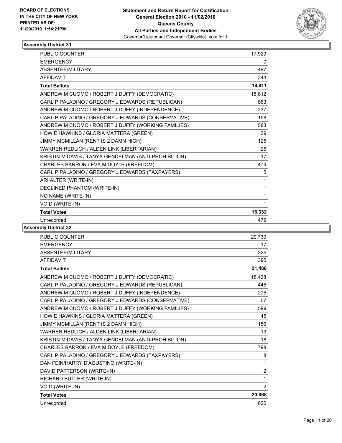

| <b>PUBLIC COUNTER</b>                                | 17,920 |
|------------------------------------------------------|--------|
| <b>EMERGENCY</b>                                     | 0      |
| <b>ABSENTEE/MILITARY</b>                             | 497    |
| <b>AFFIDAVIT</b>                                     | 344    |
| <b>Total Ballots</b>                                 | 18,811 |
| ANDREW M CUOMO / ROBERT J DUFFY (DEMOCRATIC)         | 15,812 |
| CARL P PALADINO / GREGORY J EDWARDS (REPUBLICAN)     | 863    |
| ANDREW M CUOMO / ROBERT J DUFFY (INDEPENDENCE)       | 237    |
| CARL P PALADINO / GREGORY J EDWARDS (CONSERVATIVE)   | 158    |
| ANDREW M CUOMO / ROBERT J DUFFY (WORKING FAMILIES)   | 583    |
| HOWIE HAWKINS / GLORIA MATTERA (GREEN)               | 29     |
| JIMMY MCMILLAN (RENT IS 2 DAMN HIGH)                 | 125    |
| WARREN REDLICH / ALDEN LINK (LIBERTARIAN)            | 25     |
| KRISTIN M DAVIS / TANYA GENDELMAN (ANTI-PROHIBITION) | 17     |
| CHARLES BARRON / EVA M DOYLE (FREEDOM)               | 474    |
| CARL P PALADINO / GREGORY J EDWARDS (TAXPAYERS)      | 5      |
| ARI ALTER (WRITE-IN)                                 | 1      |
| DECLINED PHANTOM (WRITE-IN)                          | 1      |
| NO NAME (WRITE-IN)                                   | 1      |
| VOID (WRITE-IN)                                      | 1      |
| <b>Total Votes</b>                                   | 18,332 |
| Unrecorded                                           | 479    |

| <b>PUBLIC COUNTER</b>                                | 20,730         |
|------------------------------------------------------|----------------|
| <b>EMERGENCY</b>                                     | 17             |
| ABSENTEE/MILITARY                                    | 325            |
| <b>AFFIDAVIT</b>                                     | 395            |
| <b>Total Ballots</b>                                 | 21,488         |
| ANDREW M CUOMO / ROBERT J DUFFY (DEMOCRATIC)         | 18,438         |
| CARL P PALADINO / GREGORY J EDWARDS (REPUBLICAN)     | 445            |
| ANDREW M CUOMO / ROBERT J DUFFY (INDEPENDENCE)       | 275            |
| CARL P PALADINO / GREGORY J EDWARDS (CONSERVATIVE)   | 67             |
| ANDREW M CUOMO / ROBERT J DUFFY (WORKING FAMILIES)   | 599            |
| HOWIE HAWKINS / GLORIA MATTERA (GREEN)               | 45             |
| JIMMY MCMILLAN (RENT IS 2 DAMN HIGH)                 | 156            |
| WARREN REDLICH / ALDEN LINK (LIBERTARIAN)            | 13             |
| KRISTIN M DAVIS / TANYA GENDELMAN (ANTI-PROHIBITION) | 18             |
| CHARLES BARRON / EVA M DOYLE (FREEDOM)               | 798            |
| CARL P PALADINO / GREGORY J EDWARDS (TAXPAYERS)      | 8              |
| DAN FEIN/HARRY D'AGUSTINO (WRITE-IN)                 | 1              |
| DAVID PATTERSON (WRITE-IN)                           | $\overline{2}$ |
| RICHARD BUTLER (WRITE-IN)                            | 1              |
| VOID (WRITE-IN)                                      | $\overline{2}$ |
| <b>Total Votes</b>                                   | 20,868         |
| Unrecorded                                           | 620            |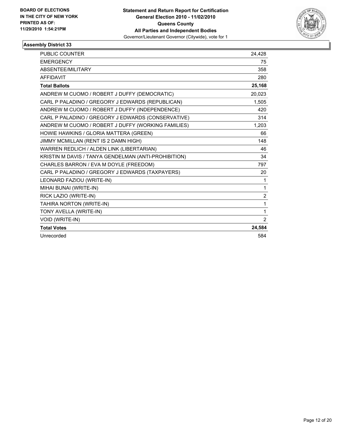

| <b>PUBLIC COUNTER</b>                                | 24,428         |
|------------------------------------------------------|----------------|
| <b>EMERGENCY</b>                                     | 75             |
| ABSENTEE/MILITARY                                    | 358            |
| <b>AFFIDAVIT</b>                                     | 280            |
| <b>Total Ballots</b>                                 | 25,168         |
| ANDREW M CUOMO / ROBERT J DUFFY (DEMOCRATIC)         | 20,023         |
| CARL P PALADINO / GREGORY J EDWARDS (REPUBLICAN)     | 1,505          |
| ANDREW M CUOMO / ROBERT J DUFFY (INDEPENDENCE)       | 420            |
| CARL P PALADINO / GREGORY J EDWARDS (CONSERVATIVE)   | 314            |
| ANDREW M CUOMO / ROBERT J DUFFY (WORKING FAMILIES)   | 1,203          |
| HOWIE HAWKINS / GLORIA MATTERA (GREEN)               | 66             |
| JIMMY MCMILLAN (RENT IS 2 DAMN HIGH)                 | 148            |
| WARREN REDLICH / ALDEN LINK (LIBERTARIAN)            | 46             |
| KRISTIN M DAVIS / TANYA GENDELMAN (ANTI-PROHIBITION) | 34             |
| CHARLES BARRON / EVA M DOYLE (FREEDOM)               | 797            |
| CARL P PALADINO / GREGORY J EDWARDS (TAXPAYERS)      | 20             |
| LEONARD FAZIOU (WRITE-IN)                            | 1              |
| MIHAI BUNAI (WRITE-IN)                               | 1              |
| RICK LAZIO (WRITE-IN)                                | $\overline{2}$ |
| TAHIRA NORTON (WRITE-IN)                             | 1              |
| TONY AVELLA (WRITE-IN)                               | 1              |
| VOID (WRITE-IN)                                      | 2              |
| <b>Total Votes</b>                                   | 24,584         |
| Unrecorded                                           | 584            |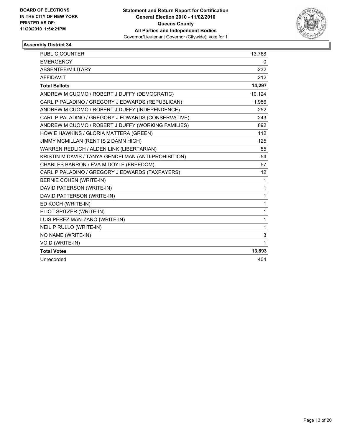

| PUBLIC COUNTER                                       | 13,768       |
|------------------------------------------------------|--------------|
| <b>EMERGENCY</b>                                     | 0            |
| ABSENTEE/MILITARY                                    | 232          |
| <b>AFFIDAVIT</b>                                     | 212          |
| <b>Total Ballots</b>                                 | 14,297       |
| ANDREW M CUOMO / ROBERT J DUFFY (DEMOCRATIC)         | 10,124       |
| CARL P PALADINO / GREGORY J EDWARDS (REPUBLICAN)     | 1,956        |
| ANDREW M CUOMO / ROBERT J DUFFY (INDEPENDENCE)       | 252          |
| CARL P PALADINO / GREGORY J EDWARDS (CONSERVATIVE)   | 243          |
| ANDREW M CUOMO / ROBERT J DUFFY (WORKING FAMILIES)   | 892          |
| HOWIE HAWKINS / GLORIA MATTERA (GREEN)               | 112          |
| JIMMY MCMILLAN (RENT IS 2 DAMN HIGH)                 | 125          |
| WARREN REDLICH / ALDEN LINK (LIBERTARIAN)            | 55           |
| KRISTIN M DAVIS / TANYA GENDELMAN (ANTI-PROHIBITION) | 54           |
| CHARLES BARRON / EVA M DOYLE (FREEDOM)               | 57           |
| CARL P PALADINO / GREGORY J EDWARDS (TAXPAYERS)      | 12           |
| BERNIE COHEN (WRITE-IN)                              | $\mathbf{1}$ |
| DAVID PATERSON (WRITE-IN)                            | 1            |
| DAVID PATTERSON (WRITE-IN)                           | 1            |
| ED KOCH (WRITE-IN)                                   | 1            |
| ELIOT SPITZER (WRITE-IN)                             | 1            |
| LUIS PEREZ MAN-ZANO (WRITE-IN)                       | 1            |
| NEIL P RULLO (WRITE-IN)                              | 1            |
| NO NAME (WRITE-IN)                                   | 3            |
| VOID (WRITE-IN)                                      | 1            |
| <b>Total Votes</b>                                   | 13,893       |
| Unrecorded                                           | 404          |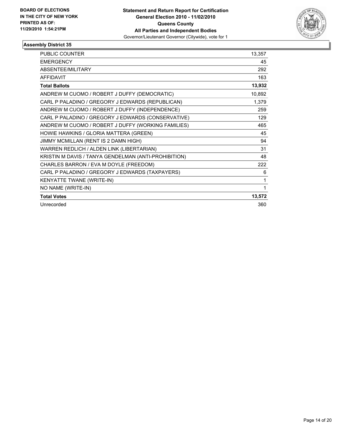

| <b>PUBLIC COUNTER</b>                                | 13,357 |
|------------------------------------------------------|--------|
| <b>EMERGENCY</b>                                     | 45     |
| ABSENTEE/MILITARY                                    | 292    |
| <b>AFFIDAVIT</b>                                     | 163    |
| <b>Total Ballots</b>                                 | 13,932 |
| ANDREW M CUOMO / ROBERT J DUFFY (DEMOCRATIC)         | 10,892 |
| CARL P PALADINO / GREGORY J EDWARDS (REPUBLICAN)     | 1,379  |
| ANDREW M CUOMO / ROBERT J DUFFY (INDEPENDENCE)       | 259    |
| CARL P PALADINO / GREGORY J EDWARDS (CONSERVATIVE)   | 129    |
| ANDREW M CUOMO / ROBERT J DUFFY (WORKING FAMILIES)   | 465    |
| HOWIE HAWKINS / GLORIA MATTERA (GREEN)               | 45     |
| JIMMY MCMILLAN (RENT IS 2 DAMN HIGH)                 | 94     |
| WARREN REDLICH / ALDEN LINK (LIBERTARIAN)            | 31     |
| KRISTIN M DAVIS / TANYA GENDELMAN (ANTI-PROHIBITION) | 48     |
| CHARLES BARRON / EVA M DOYLE (FREEDOM)               | 222    |
| CARL P PALADINO / GREGORY J EDWARDS (TAXPAYERS)      | 6      |
| KENYATTE TWANE (WRITE-IN)                            | 1      |
| NO NAME (WRITE-IN)                                   | 1      |
| <b>Total Votes</b>                                   | 13,572 |
| Unrecorded                                           | 360    |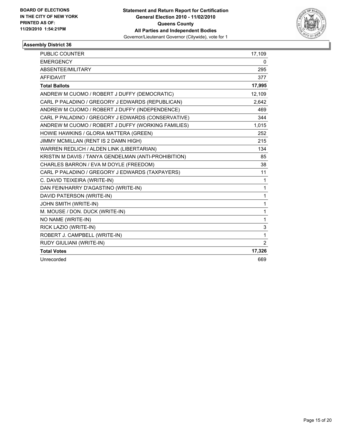

| PUBLIC COUNTER                                       | 17,109         |
|------------------------------------------------------|----------------|
| <b>EMERGENCY</b>                                     | 0              |
| ABSENTEE/MILITARY                                    | 295            |
| <b>AFFIDAVIT</b>                                     | 377            |
| <b>Total Ballots</b>                                 | 17,995         |
| ANDREW M CUOMO / ROBERT J DUFFY (DEMOCRATIC)         | 12,109         |
| CARL P PALADINO / GREGORY J EDWARDS (REPUBLICAN)     | 2,642          |
| ANDREW M CUOMO / ROBERT J DUFFY (INDEPENDENCE)       | 469            |
| CARL P PALADINO / GREGORY J EDWARDS (CONSERVATIVE)   | 344            |
| ANDREW M CUOMO / ROBERT J DUFFY (WORKING FAMILIES)   | 1,015          |
| HOWIE HAWKINS / GLORIA MATTERA (GREEN)               | 252            |
| JIMMY MCMILLAN (RENT IS 2 DAMN HIGH)                 | 215            |
| WARREN REDLICH / ALDEN LINK (LIBERTARIAN)            | 134            |
| KRISTIN M DAVIS / TANYA GENDELMAN (ANTI-PROHIBITION) | 85             |
| CHARLES BARRON / EVA M DOYLE (FREEDOM)               | 38             |
| CARL P PALADINO / GREGORY J EDWARDS (TAXPAYERS)      | 11             |
| C. DAVID TEIXEIRA (WRITE-IN)                         | $\mathbf{1}$   |
| DAN FEIN/HARRY D'AGASTINO (WRITE-IN)                 | 1              |
| DAVID PATERSON (WRITE-IN)                            | 1              |
| JOHN SMITH (WRITE-IN)                                | 1              |
| M. MOUSE / DON. DUCK (WRITE-IN)                      | 1              |
| NO NAME (WRITE-IN)                                   | 1              |
| RICK LAZIO (WRITE-IN)                                | 3              |
| ROBERT J. CAMPBELL (WRITE-IN)                        | 1              |
| RUDY GIULIANI (WRITE-IN)                             | $\overline{2}$ |
| <b>Total Votes</b>                                   | 17,326         |
| Unrecorded                                           | 669            |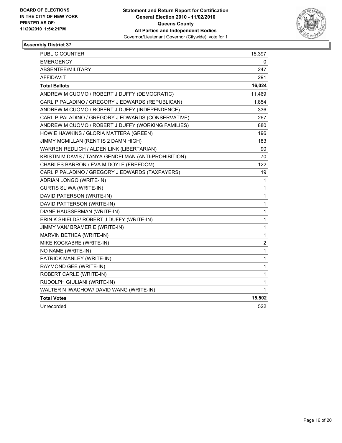

| <b>PUBLIC COUNTER</b>                                | 15,397           |
|------------------------------------------------------|------------------|
| <b>EMERGENCY</b>                                     | 0                |
| ABSENTEE/MILITARY                                    | 247              |
| AFFIDAVIT                                            | 291              |
| <b>Total Ballots</b>                                 | 16,024           |
| ANDREW M CUOMO / ROBERT J DUFFY (DEMOCRATIC)         | 11,469           |
| CARL P PALADINO / GREGORY J EDWARDS (REPUBLICAN)     | 1,854            |
| ANDREW M CUOMO / ROBERT J DUFFY (INDEPENDENCE)       | 336              |
| CARL P PALADINO / GREGORY J EDWARDS (CONSERVATIVE)   | 267              |
| ANDREW M CUOMO / ROBERT J DUFFY (WORKING FAMILIES)   | 880              |
| HOWIE HAWKINS / GLORIA MATTERA (GREEN)               | 196              |
| JIMMY MCMILLAN (RENT IS 2 DAMN HIGH)                 | 183              |
| WARREN REDLICH / ALDEN LINK (LIBERTARIAN)            | 90               |
| KRISTIN M DAVIS / TANYA GENDELMAN (ANTI-PROHIBITION) | 70               |
| CHARLES BARRON / EVA M DOYLE (FREEDOM)               | 122              |
| CARL P PALADINO / GREGORY J EDWARDS (TAXPAYERS)      | 19               |
| ADRIAN LONGO (WRITE-IN)                              | 1                |
| <b>CURTIS SLIWA (WRITE-IN)</b>                       | $\mathbf 1$      |
| DAVID PATERSON (WRITE-IN)                            | 1                |
| DAVID PATTERSON (WRITE-IN)                           | 1                |
| DIANE HAUSSERMAN (WRITE-IN)                          | 1                |
| ERIN K SHIELDS/ ROBERT J DUFFY (WRITE-IN)            | $\mathbf 1$      |
| JIMMY VAN/ BRAMER E (WRITE-IN)                       | 1                |
| MARVIN BETHEA (WRITE-IN)                             | 1                |
| MIKE KOCKABRE (WRITE-IN)                             | $\boldsymbol{2}$ |
| NO NAME (WRITE-IN)                                   | 1                |
| PATRICK MANLEY (WRITE-IN)                            | $\mathbf{1}$     |
| RAYMOND GEE (WRITE-IN)                               | $\mathbf{1}$     |
| ROBERT CARLE (WRITE-IN)                              | $\mathbf{1}$     |
| RUDOLPH GIULIANI (WRITE-IN)                          | 1                |
| WALTER N IWACHOW/ DAVID WANG (WRITE-IN)              | 1                |
| <b>Total Votes</b>                                   | 15,502           |
| Unrecorded                                           | 522              |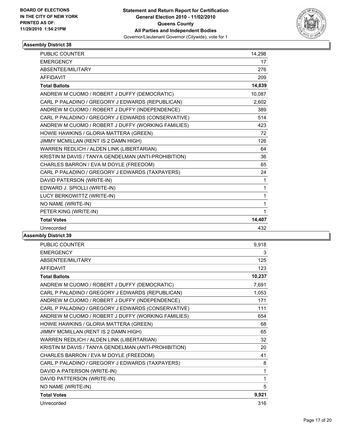

| <b>PUBLIC COUNTER</b>                                | 14,298       |
|------------------------------------------------------|--------------|
| <b>EMERGENCY</b>                                     | 17           |
| ABSENTEE/MILITARY                                    | 276          |
| <b>AFFIDAVIT</b>                                     | 209          |
| <b>Total Ballots</b>                                 | 14,839       |
| ANDREW M CUOMO / ROBERT J DUFFY (DEMOCRATIC)         | 10,087       |
| CARL P PALADINO / GREGORY J EDWARDS (REPUBLICAN)     | 2,602        |
| ANDREW M CUOMO / ROBERT J DUFFY (INDEPENDENCE)       | 389          |
| CARL P PALADINO / GREGORY J EDWARDS (CONSERVATIVE)   | 514          |
| ANDREW M CUOMO / ROBERT J DUFFY (WORKING FAMILIES)   | 423          |
| HOWIE HAWKINS / GLORIA MATTERA (GREEN)               | 72           |
| JIMMY MCMILLAN (RENT IS 2 DAMN HIGH)                 | 126          |
| WARREN REDLICH / ALDEN LINK (LIBERTARIAN)            | 64           |
| KRISTIN M DAVIS / TANYA GENDELMAN (ANTI-PROHIBITION) | 36           |
| CHARLES BARRON / EVA M DOYLE (FREEDOM)               | 65           |
| CARL P PALADINO / GREGORY J EDWARDS (TAXPAYERS)      | 24           |
| DAVID PATERSON (WRITE-IN)                            | 1            |
| EDWARD J. SPIOLLI (WRITE-IN)                         | 1            |
| LUCY BERKOWITTZ (WRITE-IN)                           | 1            |
| NO NAME (WRITE-IN)                                   | $\mathbf{1}$ |
| PETER KING (WRITE-IN)                                | 1            |
| <b>Total Votes</b>                                   | 14,407       |
| Unrecorded                                           | 432          |

| PUBLIC COUNTER                                       | 9,918  |
|------------------------------------------------------|--------|
| <b>EMERGENCY</b>                                     | 3      |
| ABSENTEE/MILITARY                                    | 125    |
| <b>AFFIDAVIT</b>                                     | 123    |
| <b>Total Ballots</b>                                 | 10,237 |
| ANDREW M CUOMO / ROBERT J DUFFY (DEMOCRATIC)         | 7,691  |
| CARL P PALADINO / GREGORY J EDWARDS (REPUBLICAN)     | 1,053  |
| ANDREW M CUOMO / ROBERT J DUFFY (INDEPENDENCE)       | 171    |
| CARL P PALADINO / GREGORY J EDWARDS (CONSERVATIVE)   | 111    |
| ANDREW M CUOMO / ROBERT J DUFFY (WORKING FAMILIES)   | 654    |
| HOWIE HAWKINS / GLORIA MATTERA (GREEN)               | 68     |
| JIMMY MCMILLAN (RENT IS 2 DAMN HIGH)                 | 65     |
| WARREN REDLICH / ALDEN LINK (LIBERTARIAN)            | 32     |
| KRISTIN M DAVIS / TANYA GENDELMAN (ANTI-PROHIBITION) | 20     |
| CHARLES BARRON / EVA M DOYLE (FREEDOM)               | 41     |
| CARL P PALADINO / GREGORY J EDWARDS (TAXPAYERS)      | 8      |
| DAVID A PATERSON (WRITE-IN)                          | 1      |
| DAVID PATTERSON (WRITE-IN)                           | 1      |
| NO NAME (WRITE-IN)                                   | 5      |
| <b>Total Votes</b>                                   | 9,921  |
| Unrecorded                                           | 316    |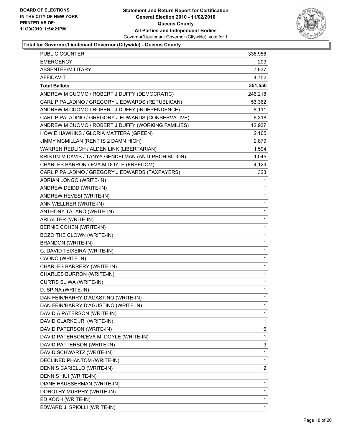

#### **Total for Governor/Lieutenant Governor (Citywide) - Queens County**

| <b>PUBLIC COUNTER</b>                                | 336,956 |
|------------------------------------------------------|---------|
| <b>EMERGENCY</b>                                     | 209     |
| ABSENTEE/MILITARY                                    | 7,837   |
| AFFIDAVIT                                            | 4,752   |
| <b>Total Ballots</b>                                 | 351,550 |
| ANDREW M CUOMO / ROBERT J DUFFY (DEMOCRATIC)         | 246,218 |
| CARL P PALADINO / GREGORY J EDWARDS (REPUBLICAN)     | 53,362  |
| ANDREW M CUOMO / ROBERT J DUFFY (INDEPENDENCE)       | 8,111   |
| CARL P PALADINO / GREGORY J EDWARDS (CONSERVATIVE)   | 8,318   |
| ANDREW M CUOMO / ROBERT J DUFFY (WORKING FAMILIES)   | 12,937  |
| HOWIE HAWKINS / GLORIA MATTERA (GREEN)               | 2,165   |
| JIMMY MCMILLAN (RENT IS 2 DAMN HIGH)                 | 2,879   |
| WARREN REDLICH / ALDEN LINK (LIBERTARIAN)            | 1,594   |
| KRISTIN M DAVIS / TANYA GENDELMAN (ANTI-PROHIBITION) | 1,045   |
| CHARLES BARRON / EVA M DOYLE (FREEDOM)               | 4,124   |
| CARL P PALADINO / GREGORY J EDWARDS (TAXPAYERS)      | 323     |
| ADRIAN LONGO (WRITE-IN)                              | 1       |
| ANDREW DEIDD (WRITE-IN)                              | 1       |
| ANDREW HEVESI (WRITE-IN)                             | 1       |
| ANN WELLNER (WRITE-IN)                               | 1       |
| ANTHONY TATANO (WRITE-IN)                            | 1       |
| ARI ALTER (WRITE-IN)                                 | 1       |
| BERNIE COHEN (WRITE-IN)                              | 1       |
| BOZO THE CLOWN (WRITE-IN)                            | 1       |
| <b>BRANDON (WRITE-IN)</b>                            | 1       |
| C. DAVID TEIXEIRA (WRITE-IN)                         | 1       |
| CAONO (WRITE-IN)                                     | 1       |
| CHARLES BARRERY (WRITE-IN)                           | 1       |
| CHARLES BURRON (WRITE-IN)                            | 1       |
| CURTIS SLIWA (WRITE-IN)                              | 1       |
| D. SPINA (WRITE-IN)                                  | 1       |
| DAN FEIN/HARRY D'AGASTINO (WRITE-IN)                 | 1       |
| DAN FEIN/HARRY D'AGUSTINO (WRITE-IN)                 | 1       |
| DAVID A PATERSON (WRITE-IN)                          | 1       |
| DAVID CLARKE JR. (WRITE-IN)                          | 1       |
| DAVID PATERSON (WRITE-IN)                            | 6       |
| DAVID PATERSON/EVA M. DOYLE (WRITE-IN)               | 1       |
| DAVID PATTERSON (WRITE-IN)                           | 9       |
| DAVID SCHWARTZ (WRITE-IN)                            | 1       |
| DECLINED PHANTOM (WRITE-IN)                          | 1       |
| DENNIS CARIELLO (WRITE-IN)                           | 2       |
| DENNIS HUI (WRITE-IN)                                | 1       |
| DIANE HAUSSERMAN (WRITE-IN)                          | 1       |
| DOROTHY MURPHY (WRITE-IN)                            | 1       |
| ED KOCH (WRITE-IN)                                   | 1       |
| EDWARD J. SPIOLLI (WRITE-IN)                         | 1       |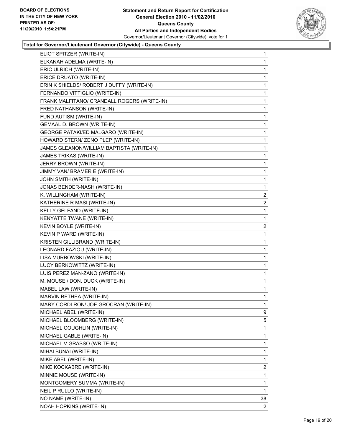

#### **Total for Governor/Lieutenant Governor (Citywide) - Queens County**

| ELIOT SPITZER (WRITE-IN)                    | 1              |
|---------------------------------------------|----------------|
| ELKANAH ADELMA (WRITE-IN)                   | 1              |
| ERIC ULRICH (WRITE-IN)                      | 1              |
| ERICE DRUATO (WRITE-IN)                     | 1              |
| ERIN K SHIELDS/ ROBERT J DUFFY (WRITE-IN)   | 1              |
| FERNANDO VITTIGLIO (WRITE-IN)               | 1              |
| FRANK MALFITANO/ CRANDALL ROGERS (WRITE-IN) | 1              |
| FRED NATHANSON (WRITE-IN)                   | 1              |
| FUND AUTISM (WRITE-IN)                      | 1              |
| GEMAAL D. BROWN (WRITE-IN)                  | 1              |
| GEORGE PATAKI/ED MALGARO (WRITE-IN)         | 1              |
| HOWARD STERN/ ZENO PLEP (WRITE-IN)          | 1              |
| JAMES GLEANON/WILLIAM BAPTISTA (WRITE-IN)   | 1              |
| JAMES TRIKAS (WRITE-IN)                     | 1              |
| JERRY BROWN (WRITE-IN)                      | 1              |
| JIMMY VAN/ BRAMER E (WRITE-IN)              | 1              |
| JOHN SMITH (WRITE-IN)                       | 1              |
| JONAS BENDER-NASH (WRITE-IN)                | 1              |
| K. WILLINGHAM (WRITE-IN)                    | $\overline{2}$ |
| KATHERINE R MASI (WRITE-IN)                 | $\overline{2}$ |
| KELLY GELFAND (WRITE-IN)                    | 1              |
| KENYATTE TWANE (WRITE-IN)                   | 1              |
| KEVIN BOYLE (WRITE-IN)                      | $\overline{2}$ |
| KEVIN P WARD (WRITE-IN)                     | 1              |
| KRISTEN GILLIBRAND (WRITE-IN)               | 1              |
| LEONARD FAZIOU (WRITE-IN)                   | 1              |
| LISA MURBOWSKI (WRITE-IN)                   | 1              |
| LUCY BERKOWITTZ (WRITE-IN)                  | 1              |
| LUIS PEREZ MAN-ZANO (WRITE-IN)              | 1              |
| M. MOUSE / DON. DUCK (WRITE-IN)             | 1              |
| MABEL LAW (WRITE-IN)                        | 1              |
| MARVIN BETHEA (WRITE-IN)                    | 1              |
| MARY CORDLRON/ JOE GROCRAN (WRITE-IN)       | 1              |
| MICHAEL ABEL (WRITE-IN)                     | 9              |
| MICHAEL BLOOMBERG (WRITE-IN)                | 5              |
| MICHAEL COUGHLIN (WRITE-IN)                 | 1              |
| MICHAEL GABLE (WRITE-IN)                    | 1              |
| MICHAEL V GRASSO (WRITE-IN)                 | 1              |
| MIHAI BUNAI (WRITE-IN)                      | 1              |
| MIKE ABEL (WRITE-IN)                        | 1              |
| MIKE KOCKABRE (WRITE-IN)                    | 2              |
| MINNIE MOUSE (WRITE-IN)                     | 1              |
| MONTGOMERY SUMMA (WRITE-IN)                 | 1              |
| NEIL P RULLO (WRITE-IN)                     | 1              |
| NO NAME (WRITE-IN)                          | 38             |
| NOAH HOPKINS (WRITE-IN)                     | 2              |
|                                             |                |